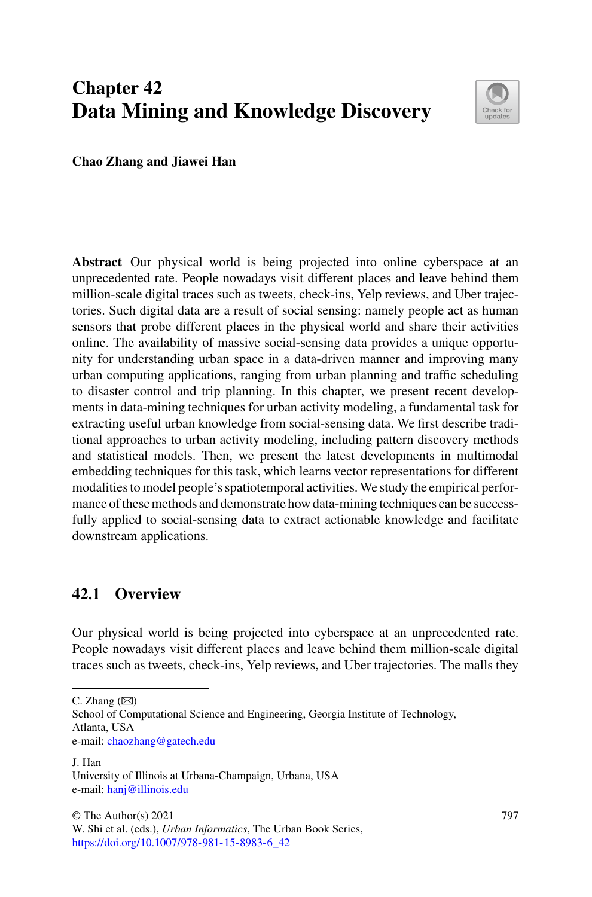# **Chapter 42 Data Mining and Knowledge Discovery**



**Chao Zhang and Jiawei Han**

**Abstract** Our physical world is being projected into online cyberspace at an unprecedented rate. People nowadays visit different places and leave behind them million-scale digital traces such as tweets, check-ins, Yelp reviews, and Uber trajectories. Such digital data are a result of social sensing: namely people act as human sensors that probe different places in the physical world and share their activities online. The availability of massive social-sensing data provides a unique opportunity for understanding urban space in a data-driven manner and improving many urban computing applications, ranging from urban planning and traffic scheduling to disaster control and trip planning. In this chapter, we present recent developments in data-mining techniques for urban activity modeling, a fundamental task for extracting useful urban knowledge from social-sensing data. We first describe traditional approaches to urban activity modeling, including pattern discovery methods and statistical models. Then, we present the latest developments in multimodal embedding techniques for this task, which learns vector representations for different modalities to model people's spatiotemporal activities.We study the empirical performance of these methods and demonstrate how data-mining techniques can be successfully applied to social-sensing data to extract actionable knowledge and facilitate downstream applications.

# **42.1 Overview**

Our physical world is being projected into cyberspace at an unprecedented rate. People nowadays visit different places and leave behind them million-scale digital traces such as tweets, check-ins, Yelp reviews, and Uber trajectories. The malls they

C. Zhang  $(\boxtimes)$ 

School of Computational Science and Engineering, Georgia Institute of Technology, Atlanta, USA e-mail: [chaozhang@gatech.edu](mailto:chaozhang@gatech.edu)

J. Han University of Illinois at Urbana-Champaign, Urbana, USA e-mail: [hanj@illinois.edu](mailto:hanj@illinois.edu)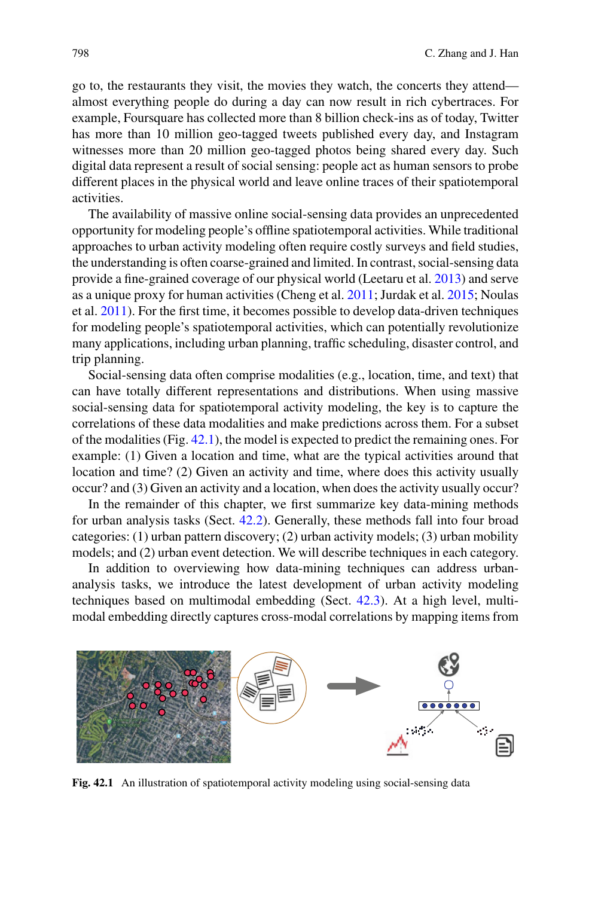go to, the restaurants they visit, the movies they watch, the concerts they attend almost everything people do during a day can now result in rich cybertraces. For example, Foursquare has collected more than 8 billion check-ins as of today, Twitter has more than 10 million geo-tagged tweets published every day, and Instagram witnesses more than 20 million geo-tagged photos being shared every day. Such digital data represent a result of social sensing: people act as human sensors to probe different places in the physical world and leave online traces of their spatiotemporal activities.

The availability of massive online social-sensing data provides an unprecedented opportunity for modeling people's offline spatiotemporal activities. While traditional approaches to urban activity modeling often require costly surveys and field studies, the understanding is often coarse-grained and limited. In contrast, social-sensing data provide a fine-grained coverage of our physical world (Leetaru et al. [2013\)](#page-15-0) and serve as a unique proxy for human activities (Cheng et al. [2011;](#page-15-1) Jurdak et al. [2015;](#page-15-2) Noulas et al. [2011\)](#page-16-0). For the first time, it becomes possible to develop data-driven techniques for modeling people's spatiotemporal activities, which can potentially revolutionize many applications, including urban planning, traffic scheduling, disaster control, and trip planning.

Social-sensing data often comprise modalities (e.g., location, time, and text) that can have totally different representations and distributions. When using massive social-sensing data for spatiotemporal activity modeling, the key is to capture the correlations of these data modalities and make predictions across them. For a subset of the modalities (Fig. [42.1\)](#page-1-0), the model is expected to predict the remaining ones. For example: (1) Given a location and time, what are the typical activities around that location and time? (2) Given an activity and time, where does this activity usually occur? and (3) Given an activity and a location, when does the activity usually occur?

In the remainder of this chapter, we first summarize key data-mining methods for urban analysis tasks (Sect. [42.2\)](#page-2-0). Generally, these methods fall into four broad categories: (1) urban pattern discovery; (2) urban activity models; (3) urban mobility models; and (2) urban event detection. We will describe techniques in each category.

In addition to overviewing how data-mining techniques can address urbananalysis tasks, we introduce the latest development of urban activity modeling techniques based on multimodal embedding (Sect. [42.3\)](#page-5-0). At a high level, multimodal embedding directly captures cross-modal correlations by mapping items from



<span id="page-1-0"></span>**Fig. 42.1** An illustration of spatiotemporal activity modeling using social-sensing data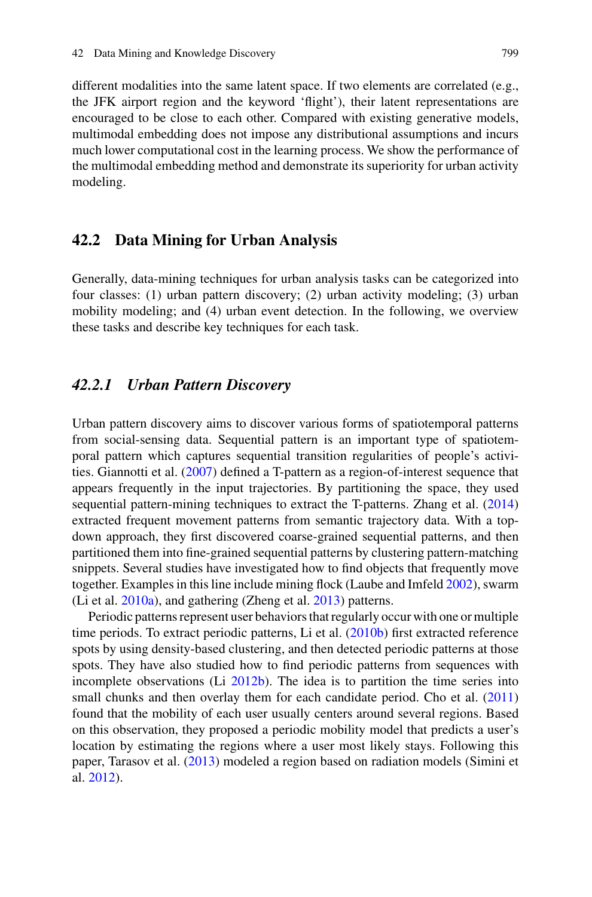different modalities into the same latent space. If two elements are correlated (e.g., the JFK airport region and the keyword 'flight'), their latent representations are encouraged to be close to each other. Compared with existing generative models, multimodal embedding does not impose any distributional assumptions and incurs much lower computational cost in the learning process. We show the performance of the multimodal embedding method and demonstrate its superiority for urban activity modeling.

#### <span id="page-2-0"></span>**42.2 Data Mining for Urban Analysis**

Generally, data-mining techniques for urban analysis tasks can be categorized into four classes: (1) urban pattern discovery; (2) urban activity modeling; (3) urban mobility modeling; and (4) urban event detection. In the following, we overview these tasks and describe key techniques for each task.

#### *42.2.1 Urban Pattern Discovery*

Urban pattern discovery aims to discover various forms of spatiotemporal patterns from social-sensing data. Sequential pattern is an important type of spatiotemporal pattern which captures sequential transition regularities of people's activities. Giannotti et al. [\(2007\)](#page-15-3) defined a T-pattern as a region-of-interest sequence that appears frequently in the input trajectories. By partitioning the space, they used sequential pattern-mining techniques to extract the T-patterns. Zhang et al. [\(2014\)](#page-16-1) extracted frequent movement patterns from semantic trajectory data. With a topdown approach, they first discovered coarse-grained sequential patterns, and then partitioned them into fine-grained sequential patterns by clustering pattern-matching snippets. Several studies have investigated how to find objects that frequently move together. Examples in this line include mining flock (Laube and Imfeld [2002\)](#page-15-4), swarm (Li et al. [2010a\)](#page-16-2), and gathering (Zheng et al. [2013\)](#page-17-0) patterns.

Periodic patterns represent user behaviors that regularly occur with one or multiple time periods. To extract periodic patterns, Li et al. [\(2010b\)](#page-16-3) first extracted reference spots by using density-based clustering, and then detected periodic patterns at those spots. They have also studied how to find periodic patterns from sequences with incomplete observations (Li [2012b\)](#page-16-4). The idea is to partition the time series into small chunks and then overlay them for each candidate period. Cho et al. [\(2011\)](#page-15-5) found that the mobility of each user usually centers around several regions. Based on this observation, they proposed a periodic mobility model that predicts a user's location by estimating the regions where a user most likely stays. Following this paper, Tarasov et al. [\(2013\)](#page-16-5) modeled a region based on radiation models (Simini et al. [2012\)](#page-16-6).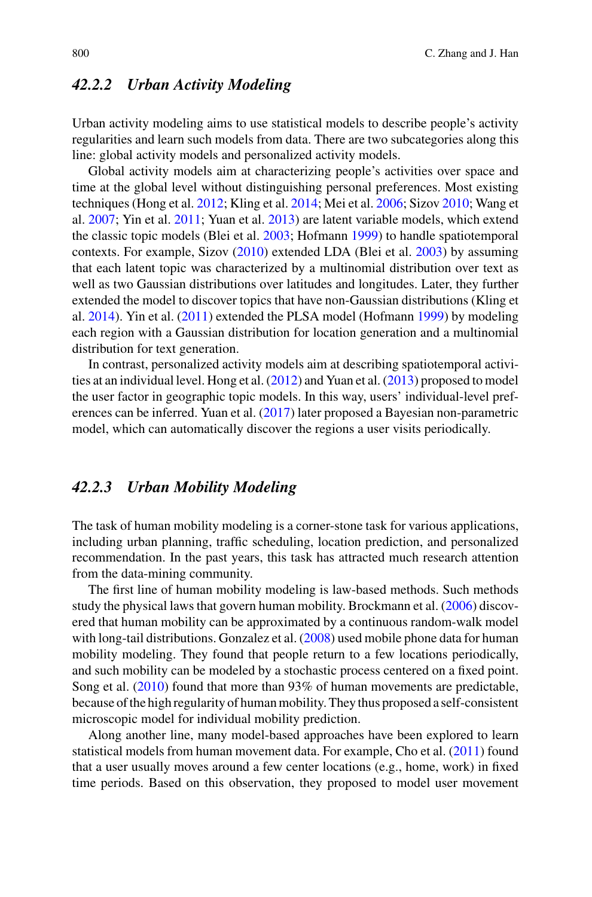## *42.2.2 Urban Activity Modeling*

Urban activity modeling aims to use statistical models to describe people's activity regularities and learn such models from data. There are two subcategories along this line: global activity models and personalized activity models.

Global activity models aim at characterizing people's activities over space and time at the global level without distinguishing personal preferences. Most existing techniques (Hong et al. [2012;](#page-15-6) Kling et al. [2014;](#page-15-7) Mei et al. [2006;](#page-16-7) Sizov [2010;](#page-16-8) Wang et al. [2007;](#page-16-9) Yin et al. [2011;](#page-16-10) Yuan et al. [2013\)](#page-16-11) are latent variable models, which extend the classic topic models (Blei et al. [2003;](#page-15-8) Hofmann [1999\)](#page-15-9) to handle spatiotemporal contexts. For example, Sizov [\(2010\)](#page-16-8) extended LDA (Blei et al. [2003\)](#page-15-8) by assuming that each latent topic was characterized by a multinomial distribution over text as well as two Gaussian distributions over latitudes and longitudes. Later, they further extended the model to discover topics that have non-Gaussian distributions (Kling et al. [2014\)](#page-15-7). Yin et al. [\(2011\)](#page-16-10) extended the PLSA model (Hofmann [1999\)](#page-15-9) by modeling each region with a Gaussian distribution for location generation and a multinomial distribution for text generation.

In contrast, personalized activity models aim at describing spatiotemporal activities at an individual level. Hong et al. [\(2012\)](#page-15-6) and Yuan et al. [\(2013\)](#page-16-11) proposed to model the user factor in geographic topic models. In this way, users' individual-level preferences can be inferred. Yuan et al. [\(2017\)](#page-16-12) later proposed a Bayesian non-parametric model, which can automatically discover the regions a user visits periodically.

## *42.2.3 Urban Mobility Modeling*

The task of human mobility modeling is a corner-stone task for various applications, including urban planning, traffic scheduling, location prediction, and personalized recommendation. In the past years, this task has attracted much research attention from the data-mining community.

The first line of human mobility modeling is law-based methods. Such methods study the physical laws that govern human mobility. Brockmann et al. [\(2006\)](#page-15-10) discovered that human mobility can be approximated by a continuous random-walk model with long-tail distributions. Gonzalez et al. [\(2008\)](#page-15-11) used mobile phone data for human mobility modeling. They found that people return to a few locations periodically, and such mobility can be modeled by a stochastic process centered on a fixed point. Song et al. [\(2010\)](#page-16-13) found that more than 93% of human movements are predictable, because of the high regularity of human mobility. They thus proposed a self-consistent microscopic model for individual mobility prediction.

Along another line, many model-based approaches have been explored to learn statistical models from human movement data. For example, Cho et al. [\(2011\)](#page-15-5) found that a user usually moves around a few center locations (e.g., home, work) in fixed time periods. Based on this observation, they proposed to model user movement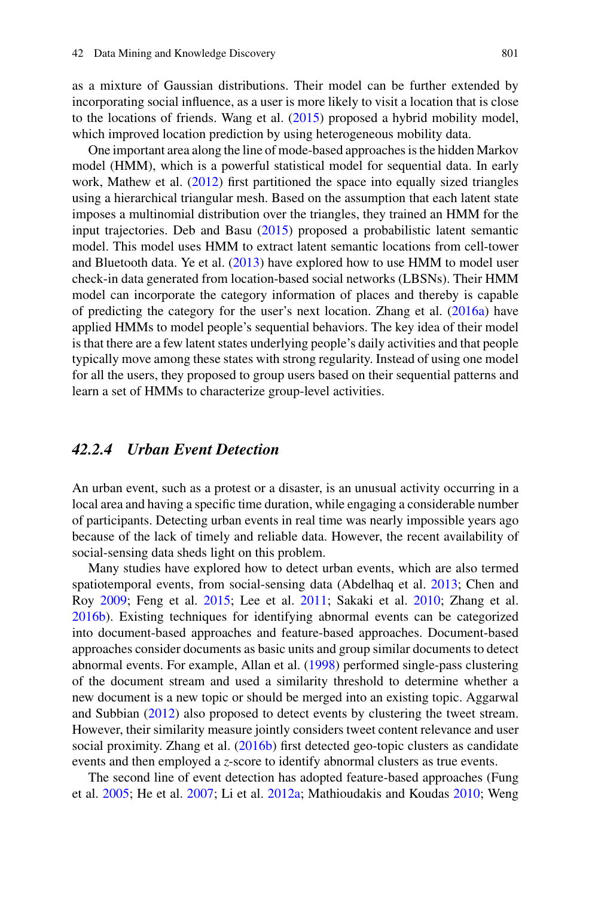as a mixture of Gaussian distributions. Their model can be further extended by incorporating social influence, as a user is more likely to visit a location that is close to the locations of friends. Wang et al. [\(2015\)](#page-16-14) proposed a hybrid mobility model, which improved location prediction by using heterogeneous mobility data.

One important area along the line of mode-based approaches is the hidden Markov model (HMM), which is a powerful statistical model for sequential data. In early work, Mathew et al. [\(2012\)](#page-16-15) first partitioned the space into equally sized triangles using a hierarchical triangular mesh. Based on the assumption that each latent state imposes a multinomial distribution over the triangles, they trained an HMM for the input trajectories. Deb and Basu [\(2015\)](#page-15-12) proposed a probabilistic latent semantic model. This model uses HMM to extract latent semantic locations from cell-tower and Bluetooth data. Ye et al. [\(2013\)](#page-16-16) have explored how to use HMM to model user check-in data generated from location-based social networks (LBSNs). Their HMM model can incorporate the category information of places and thereby is capable of predicting the category for the user's next location. Zhang et al. [\(2016a\)](#page-17-1) have applied HMMs to model people's sequential behaviors. The key idea of their model is that there are a few latent states underlying people's daily activities and that people typically move among these states with strong regularity. Instead of using one model for all the users, they proposed to group users based on their sequential patterns and learn a set of HMMs to characterize group-level activities.

#### *42.2.4 Urban Event Detection*

An urban event, such as a protest or a disaster, is an unusual activity occurring in a local area and having a specific time duration, while engaging a considerable number of participants. Detecting urban events in real time was nearly impossible years ago because of the lack of timely and reliable data. However, the recent availability of social-sensing data sheds light on this problem.

Many studies have explored how to detect urban events, which are also termed spatiotemporal events, from social-sensing data (Abdelhaq et al. [2013;](#page-15-13) Chen and Roy [2009;](#page-15-14) Feng et al. [2015;](#page-15-15) Lee et al. [2011;](#page-15-16) Sakaki et al. [2010;](#page-16-17) Zhang et al. [2016b\)](#page-17-2). Existing techniques for identifying abnormal events can be categorized into document-based approaches and feature-based approaches. Document-based approaches consider documents as basic units and group similar documents to detect abnormal events. For example, Allan et al. [\(1998\)](#page-15-17) performed single-pass clustering of the document stream and used a similarity threshold to determine whether a new document is a new topic or should be merged into an existing topic. Aggarwal and Subbian [\(2012\)](#page-15-18) also proposed to detect events by clustering the tweet stream. However, their similarity measure jointly considers tweet content relevance and user social proximity. Zhang et al. [\(2016b\)](#page-17-2) first detected geo-topic clusters as candidate events and then employed a *z*-score to identify abnormal clusters as true events.

The second line of event detection has adopted feature-based approaches (Fung et al. [2005;](#page-15-19) He et al. [2007;](#page-15-20) Li et al. [2012a;](#page-15-21) Mathioudakis and Koudas [2010;](#page-16-18) Weng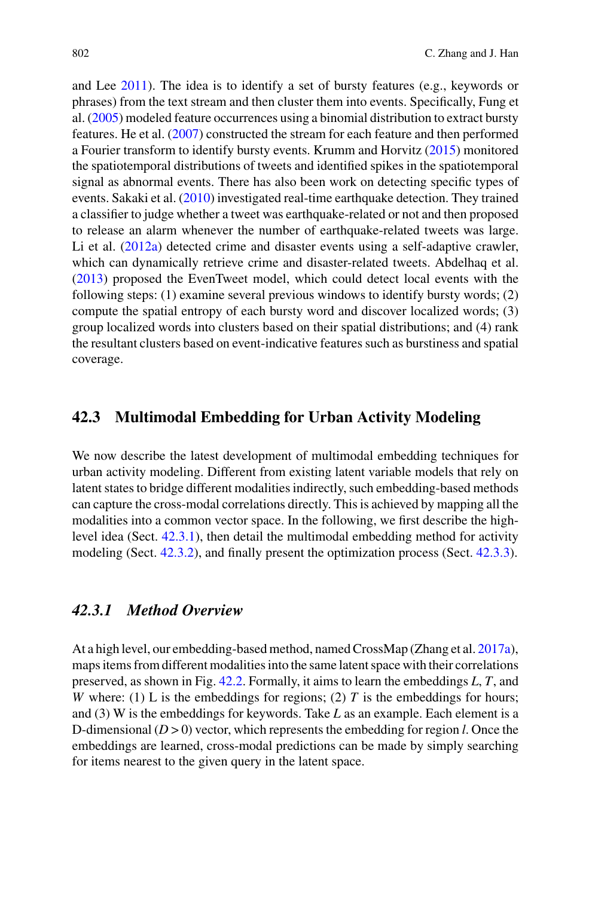and Lee [2011\)](#page-16-19). The idea is to identify a set of bursty features (e.g., keywords or phrases) from the text stream and then cluster them into events. Specifically, Fung et al. [\(2005\)](#page-15-19) modeled feature occurrences using a binomial distribution to extract bursty features. He et al. [\(2007\)](#page-15-20) constructed the stream for each feature and then performed a Fourier transform to identify bursty events. Krumm and Horvitz [\(2015\)](#page-15-22) monitored the spatiotemporal distributions of tweets and identified spikes in the spatiotemporal signal as abnormal events. There has also been work on detecting specific types of events. Sakaki et al. [\(2010\)](#page-16-17) investigated real-time earthquake detection. They trained a classifier to judge whether a tweet was earthquake-related or not and then proposed to release an alarm whenever the number of earthquake-related tweets was large. Li et al. [\(2012a\)](#page-15-21) detected crime and disaster events using a self-adaptive crawler, which can dynamically retrieve crime and disaster-related tweets. Abdelhaq et al. [\(2013\)](#page-15-13) proposed the EvenTweet model, which could detect local events with the following steps: (1) examine several previous windows to identify bursty words; (2) compute the spatial entropy of each bursty word and discover localized words; (3) group localized words into clusters based on their spatial distributions; and (4) rank the resultant clusters based on event-indicative features such as burstiness and spatial coverage.

## <span id="page-5-0"></span>**42.3 Multimodal Embedding for Urban Activity Modeling**

We now describe the latest development of multimodal embedding techniques for urban activity modeling. Different from existing latent variable models that rely on latent states to bridge different modalities indirectly, such embedding-based methods can capture the cross-modal correlations directly. This is achieved by mapping all the modalities into a common vector space. In the following, we first describe the highlevel idea (Sect. [42.3.1\)](#page-5-1), then detail the multimodal embedding method for activity modeling (Sect. [42.3.2\)](#page-6-0), and finally present the optimization process (Sect. [42.3.3\)](#page-7-0).

#### <span id="page-5-1"></span>*42.3.1 Method Overview*

At a high level, our embedding-based method, named CrossMap (Zhang et al. [2017a\)](#page-16-20), maps items from different modalities into the same latent space with their correlations preserved, as shown in Fig. [42.2.](#page-6-1) Formally, it aims to learn the embeddings *L*, *T*, and *W* where: (1) L is the embeddings for regions; (2)  $T$  is the embeddings for hours; and (3) W is the embeddings for keywords. Take *L* as an example. Each element is a D-dimensional (*D* > 0) vector, which represents the embedding for region *l*. Once the embeddings are learned, cross-modal predictions can be made by simply searching for items nearest to the given query in the latent space.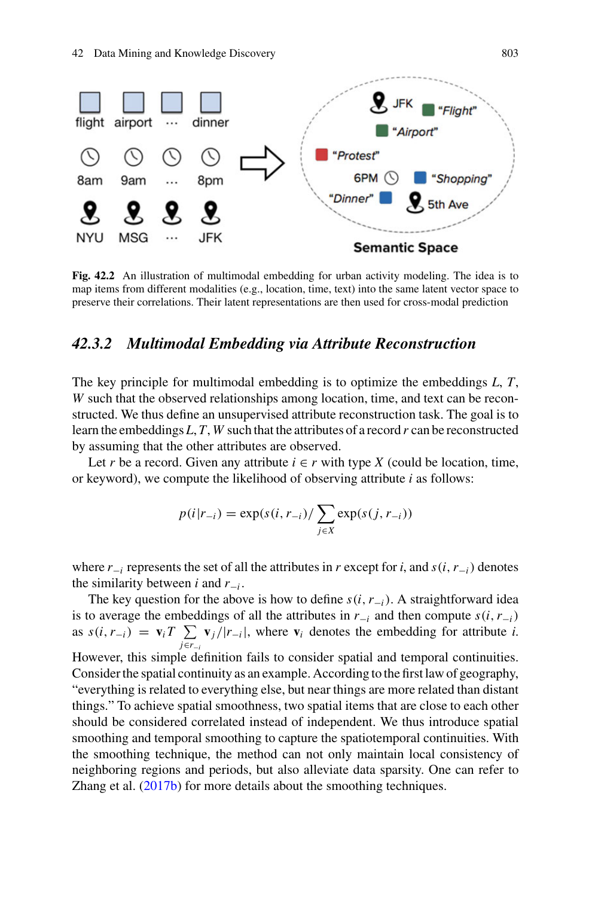

<span id="page-6-1"></span>**Fig. 42.2** An illustration of multimodal embedding for urban activity modeling. The idea is to map items from different modalities (e.g., location, time, text) into the same latent vector space to preserve their correlations. Their latent representations are then used for cross-modal prediction

#### <span id="page-6-0"></span>*42.3.2 Multimodal Embedding via Attribute Reconstruction*

The key principle for multimodal embedding is to optimize the embeddings *L*, *T*, *W* such that the observed relationships among location, time, and text can be reconstructed. We thus define an unsupervised attribute reconstruction task. The goal is to learn the embeddings *L*, *T*, *W* such that the attributes of a record *r* can be reconstructed by assuming that the other attributes are observed.

Let *r* be a record. Given any attribute  $i \in r$  with type *X* (could be location, time, or keyword), we compute the likelihood of observing attribute *i* as follows:

$$
p(i|r_{-i}) = \exp(s(i, r_{-i}) / \sum_{j \in X} \exp(s(j, r_{-i}))
$$

where  $r_{-i}$  represents the set of all the attributes in *r* except for *i*, and  $s(i, r_{-i})$  denotes the similarity between *i* and  $r_{-i}$ .

The key question for the above is how to define  $s(i, r_{-i})$ . A straightforward idea is to average the embeddings of all the attributes in  $r_{-i}$  and then compute  $s(i, r_{-i})$ as  $s(i, r_{-i}) = \mathbf{v}_i T \sum_i \mathbf{v}_j / |r_{-i}|$ , where  $\mathbf{v}_i$  denotes the embedding for attribute *i*. *j*∈*r*−*<sup>i</sup>* However, this simple definition fails to consider spatial and temporal continuities. Consider the spatial continuity as an example. According to the first law of geography, "everything is related to everything else, but near things are more related than distant things." To achieve spatial smoothness, two spatial items that are close to each other should be considered correlated instead of independent. We thus introduce spatial smoothing and temporal smoothing to capture the spatiotemporal continuities. With the smoothing technique, the method can not only maintain local consistency of neighboring regions and periods, but also alleviate data sparsity. One can refer to Zhang et al. [\(2017b\)](#page-16-21) for more details about the smoothing techniques.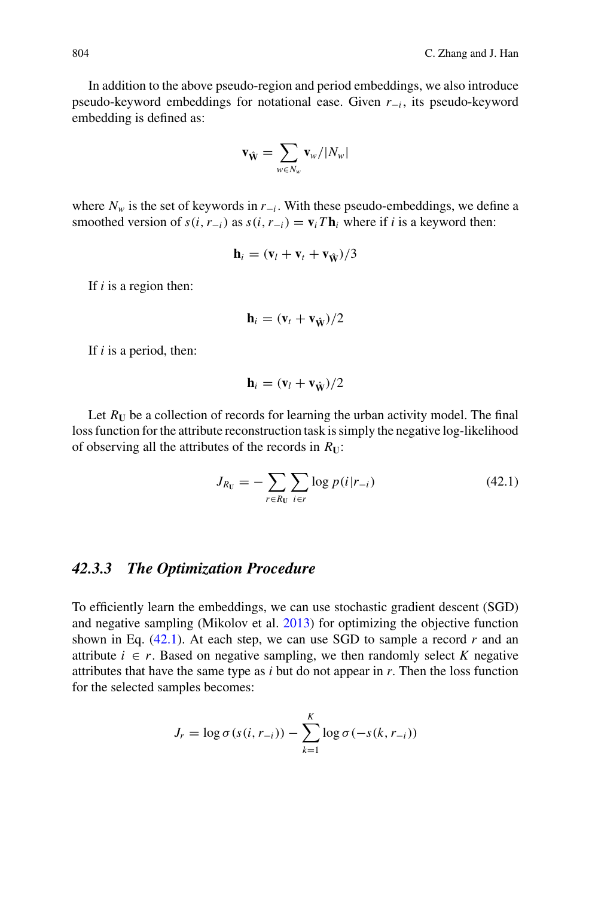In addition to the above pseudo-region and period embeddings, we also introduce pseudo-keyword embeddings for notational ease. Given *r*−*<sup>i</sup>* , its pseudo-keyword embedding is defined as:

$$
\mathbf{v}_{\hat{\mathbf{W}}} = \sum_{w \in N_w} \mathbf{v}_w / |N_w|
$$

where  $N_w$  is the set of keywords in  $r_{-i}$ . With these pseudo-embeddings, we define a smoothed version of  $s(i, r_{-i})$  as  $s(i, r_{-i}) = \mathbf{v}_i T \mathbf{h}_i$  where if *i* is a keyword then:

$$
\mathbf{h}_i = (\mathbf{v}_l + \mathbf{v}_t + \mathbf{v}_{\hat{\mathbf{W}}})/3
$$

If *i* is a region then:

$$
\mathbf{h}_i = (\mathbf{v}_t + \mathbf{v}_{\hat{\mathbf{W}}})/2
$$

If *i* is a period, then:

<span id="page-7-1"></span>
$$
\mathbf{h}_i = (\mathbf{v}_l + \mathbf{v}_{\hat{\mathbf{W}}})/2
$$

Let  $R_U$  be a collection of records for learning the urban activity model. The final loss function for the attribute reconstruction task is simply the negative log-likelihood of observing all the attributes of the records in  $R_{\text{U}}$ :

$$
J_{R_U} = -\sum_{r \in R_U} \sum_{i \in r} \log p(i|r_{-i})
$$
 (42.1)

#### <span id="page-7-0"></span>*42.3.3 The Optimization Procedure*

To efficiently learn the embeddings, we can use stochastic gradient descent (SGD) and negative sampling (Mikolov et al. [2013\)](#page-16-22) for optimizing the objective function shown in Eq.  $(42.1)$ . At each step, we can use SGD to sample a record *r* and an attribute  $i \in r$ . Based on negative sampling, we then randomly select  $K$  negative attributes that have the same type as *i* but do not appear in *r*. Then the loss function for the selected samples becomes:

$$
J_r = \log \sigma(s(i, r_{-i})) - \sum_{k=1}^{K} \log \sigma(-s(k, r_{-i}))
$$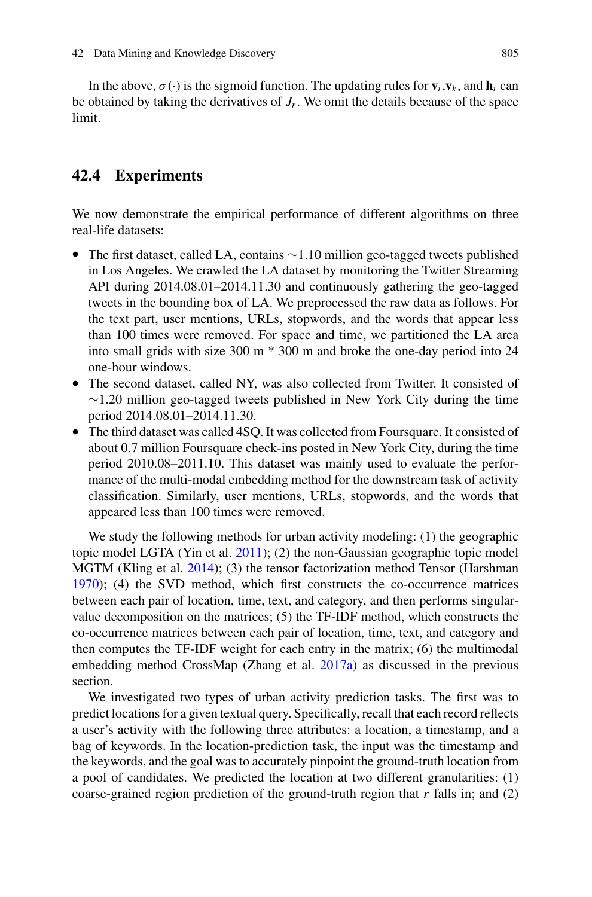In the above,  $\sigma(\cdot)$  is the sigmoid function. The updating rules for  $\mathbf{v}_i, \mathbf{v}_k$ , and  $\mathbf{h}_i$  can be obtained by taking the derivatives of  $J_r$ . We omit the details because of the space limit.

## **42.4 Experiments**

We now demonstrate the empirical performance of different algorithms on three real-life datasets:

- The first dataset, called LA, contains ∼1.10 million geo-tagged tweets published in Los Angeles. We crawled the LA dataset by monitoring the Twitter Streaming API during 2014.08.01–2014.11.30 and continuously gathering the geo-tagged tweets in the bounding box of LA. We preprocessed the raw data as follows. For the text part, user mentions, URLs, stopwords, and the words that appear less than 100 times were removed. For space and time, we partitioned the LA area into small grids with size 300 m \* 300 m and broke the one-day period into 24 one-hour windows.
- The second dataset, called NY, was also collected from Twitter. It consisted of  $\sim$ 1.20 million geo-tagged tweets published in New York City during the time period 2014.08.01–2014.11.30.
- The third dataset was called 4SQ. It was collected from Foursquare. It consisted of about 0.7 million Foursquare check-ins posted in New York City, during the time period 2010.08–2011.10. This dataset was mainly used to evaluate the performance of the multi-modal embedding method for the downstream task of activity classification. Similarly, user mentions, URLs, stopwords, and the words that appeared less than 100 times were removed.

We study the following methods for urban activity modeling: (1) the geographic topic model LGTA (Yin et al. [2011\)](#page-16-10); (2) the non-Gaussian geographic topic model MGTM (Kling et al. [2014\)](#page-15-7); (3) the tensor factorization method Tensor (Harshman [1970\)](#page-15-23); (4) the SVD method, which first constructs the co-occurrence matrices between each pair of location, time, text, and category, and then performs singularvalue decomposition on the matrices; (5) the TF-IDF method, which constructs the co-occurrence matrices between each pair of location, time, text, and category and then computes the TF-IDF weight for each entry in the matrix; (6) the multimodal embedding method CrossMap (Zhang et al. [2017a\)](#page-16-20) as discussed in the previous section.

We investigated two types of urban activity prediction tasks. The first was to predict locations for a given textual query. Specifically, recall that each record reflects a user's activity with the following three attributes: a location, a timestamp, and a bag of keywords. In the location-prediction task, the input was the timestamp and the keywords, and the goal was to accurately pinpoint the ground-truth location from a pool of candidates. We predicted the location at two different granularities: (1) coarse-grained region prediction of the ground-truth region that  $r$  falls in; and  $(2)$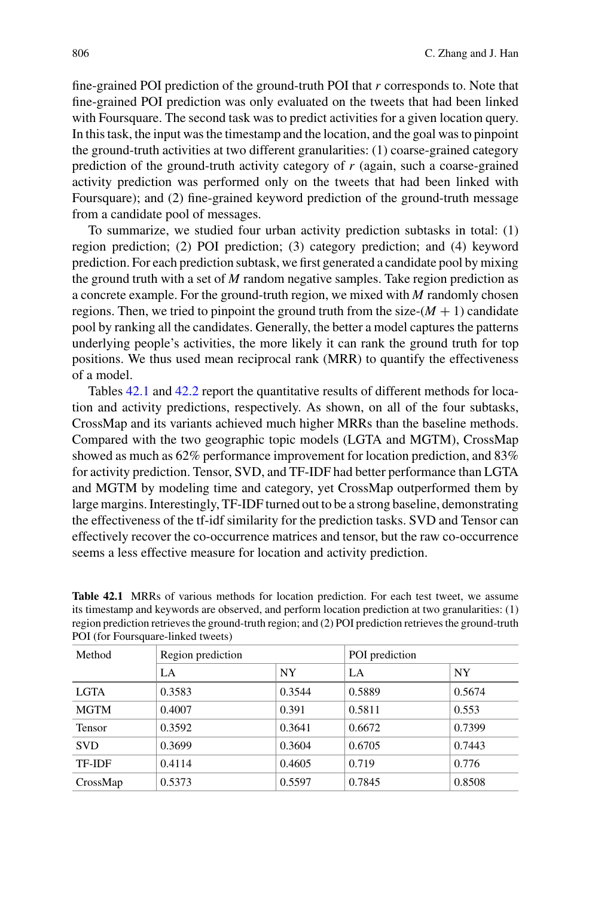fine-grained POI prediction of the ground-truth POI that *r* corresponds to. Note that fine-grained POI prediction was only evaluated on the tweets that had been linked with Foursquare. The second task was to predict activities for a given location query. In this task, the input was the timestamp and the location, and the goal was to pinpoint the ground-truth activities at two different granularities: (1) coarse-grained category prediction of the ground-truth activity category of *r* (again, such a coarse-grained activity prediction was performed only on the tweets that had been linked with Foursquare); and (2) fine-grained keyword prediction of the ground-truth message from a candidate pool of messages.

To summarize, we studied four urban activity prediction subtasks in total: (1) region prediction; (2) POI prediction; (3) category prediction; and (4) keyword prediction. For each prediction subtask, we first generated a candidate pool by mixing the ground truth with a set of *M* random negative samples. Take region prediction as a concrete example. For the ground-truth region, we mixed with *M* randomly chosen regions. Then, we tried to pinpoint the ground truth from the size- $(M + 1)$  candidate pool by ranking all the candidates. Generally, the better a model captures the patterns underlying people's activities, the more likely it can rank the ground truth for top positions. We thus used mean reciprocal rank (MRR) to quantify the effectiveness of a model.

Tables [42.1](#page-9-0) and [42.2](#page-10-0) report the quantitative results of different methods for location and activity predictions, respectively. As shown, on all of the four subtasks, CrossMap and its variants achieved much higher MRRs than the baseline methods. Compared with the two geographic topic models (LGTA and MGTM), CrossMap showed as much as 62% performance improvement for location prediction, and 83% for activity prediction. Tensor, SVD, and TF-IDF had better performance than LGTA and MGTM by modeling time and category, yet CrossMap outperformed them by large margins. Interestingly, TF-IDF turned out to be a strong baseline, demonstrating the effectiveness of the tf-idf similarity for the prediction tasks. SVD and Tensor can effectively recover the co-occurrence matrices and tensor, but the raw co-occurrence seems a less effective measure for location and activity prediction.

<span id="page-9-0"></span>**Table 42.1** MRRs of various methods for location prediction. For each test tweet, we assume its timestamp and keywords are observed, and perform location prediction at two granularities: (1) region prediction retrieves the ground-truth region; and (2) POI prediction retrieves the ground-truth POI (for Foursquare-linked tweets)

| Method      | Region prediction |           | POI prediction |        |
|-------------|-------------------|-----------|----------------|--------|
|             | LA                | <b>NY</b> | LA             | NY     |
| <b>LGTA</b> | 0.3583            | 0.3544    | 0.5889         | 0.5674 |
| <b>MGTM</b> | 0.4007            | 0.391     | 0.5811         | 0.553  |
| Tensor      | 0.3592            | 0.3641    | 0.6672         | 0.7399 |
| <b>SVD</b>  | 0.3699            | 0.3604    | 0.6705         | 0.7443 |
| TF-IDF      | 0.4114            | 0.4605    | 0.719          | 0.776  |
| CrossMap    | 0.5373            | 0.5597    | 0.7845         | 0.8508 |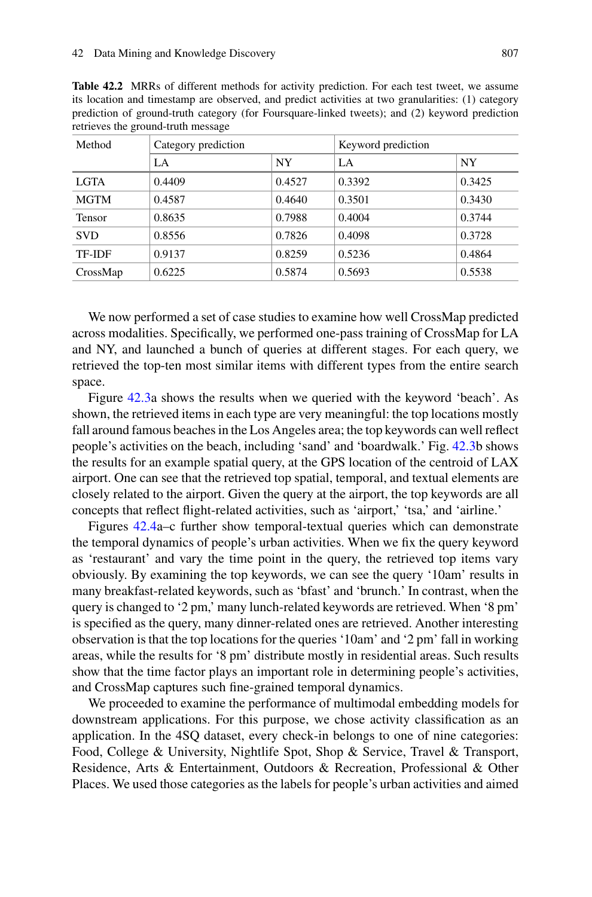<span id="page-10-0"></span>**Table 42.2** MRRs of different methods for activity prediction. For each test tweet, we assume its location and timestamp are observed, and predict activities at two granularities: (1) category prediction of ground-truth category (for Foursquare-linked tweets); and (2) keyword prediction retrieves the ground-truth message

| Method        | Category prediction |           | Keyword prediction |           |
|---------------|---------------------|-----------|--------------------|-----------|
|               | LA                  | <b>NY</b> | LA                 | <b>NY</b> |
| <b>LGTA</b>   | 0.4409              | 0.4527    | 0.3392             | 0.3425    |
| <b>MGTM</b>   | 0.4587              | 0.4640    | 0.3501             | 0.3430    |
| <b>Tensor</b> | 0.8635              | 0.7988    | 0.4004             | 0.3744    |
| <b>SVD</b>    | 0.8556              | 0.7826    | 0.4098             | 0.3728    |
| TF-IDF        | 0.9137              | 0.8259    | 0.5236             | 0.4864    |
| CrossMap      | 0.6225              | 0.5874    | 0.5693             | 0.5538    |

We now performed a set of case studies to examine how well CrossMap predicted across modalities. Specifically, we performed one-pass training of CrossMap for LA and NY, and launched a bunch of queries at different stages. For each query, we retrieved the top-ten most similar items with different types from the entire search space.

Figure [42.3a](#page-11-0) shows the results when we queried with the keyword 'beach'. As shown, the retrieved items in each type are very meaningful: the top locations mostly fall around famous beaches in the Los Angeles area; the top keywords can well reflect people's activities on the beach, including 'sand' and 'boardwalk.' Fig. [42.3b](#page-11-0) shows the results for an example spatial query, at the GPS location of the centroid of LAX airport. One can see that the retrieved top spatial, temporal, and textual elements are closely related to the airport. Given the query at the airport, the top keywords are all concepts that reflect flight-related activities, such as 'airport,' 'tsa,' and 'airline.'

Figures [42.4a](#page-12-0)–c further show temporal-textual queries which can demonstrate the temporal dynamics of people's urban activities. When we fix the query keyword as 'restaurant' and vary the time point in the query, the retrieved top items vary obviously. By examining the top keywords, we can see the query '10am' results in many breakfast-related keywords, such as 'bfast' and 'brunch.' In contrast, when the query is changed to '2 pm,' many lunch-related keywords are retrieved. When '8 pm' is specified as the query, many dinner-related ones are retrieved. Another interesting observation is that the top locations for the queries '10am' and '2 pm' fall in working areas, while the results for '8 pm' distribute mostly in residential areas. Such results show that the time factor plays an important role in determining people's activities, and CrossMap captures such fine-grained temporal dynamics.

We proceeded to examine the performance of multimodal embedding models for downstream applications. For this purpose, we chose activity classification as an application. In the 4SQ dataset, every check-in belongs to one of nine categories: Food, College & University, Nightlife Spot, Shop & Service, Travel & Transport, Residence, Arts & Entertainment, Outdoors & Recreation, Professional & Other Places. We used those categories as the labels for people's urban activities and aimed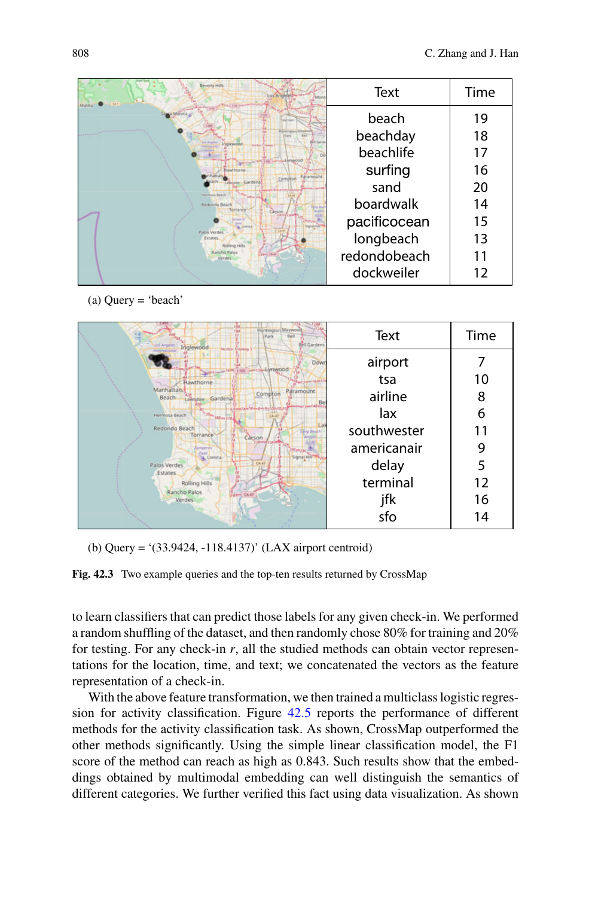| <b>Beverly Hills</b>                          | Text         | Time |
|-----------------------------------------------|--------------|------|
|                                               | beach        | 19   |
|                                               | beachday     | 18   |
|                                               | beachlife    | 17   |
| <b><i><u>Unithern</u></i></b>                 | surfing      | 16   |
|                                               | sand         | 20   |
| Redondo Beach<br>Torrano                      | boardwalk    | 14   |
|                                               | pacificocean | 15   |
| Palos Verde<br><b>Estates</b><br>Rolling Hill | longbeach    | 13   |
| <b>Rancho Palos</b><br>$-$ CA 41<br>Verdes    | redondobeach | 11   |
|                                               | dockweiler   | 12   |

(a) Query = 'beach'



<span id="page-11-0"></span>(b) Query = '(33.9424, -118.4137)' (LAX airport centroid)

**Fig. 42.3** Two example queries and the top-ten results returned by CrossMap

to learn classifiers that can predict those labels for any given check-in. We performed a random shuffling of the dataset, and then randomly chose 80% for training and 20% for testing. For any check-in  $r$ , all the studied methods can obtain vector representations for the location, time, and text; we concatenated the vectors as the feature representation of a check-in.

With the above feature transformation, we then trained a multiclass logistic regression for activity classification. Figure [42.5](#page-13-0) reports the performance of different methods for the activity classification task. As shown, CrossMap outperformed the other methods significantly. Using the simple linear classification model, the F1 score of the method can reach as high as 0.843. Such results show that the embeddings obtained by multimodal embedding can well distinguish the semantics of different categories. We further verified this fact using data visualization. As shown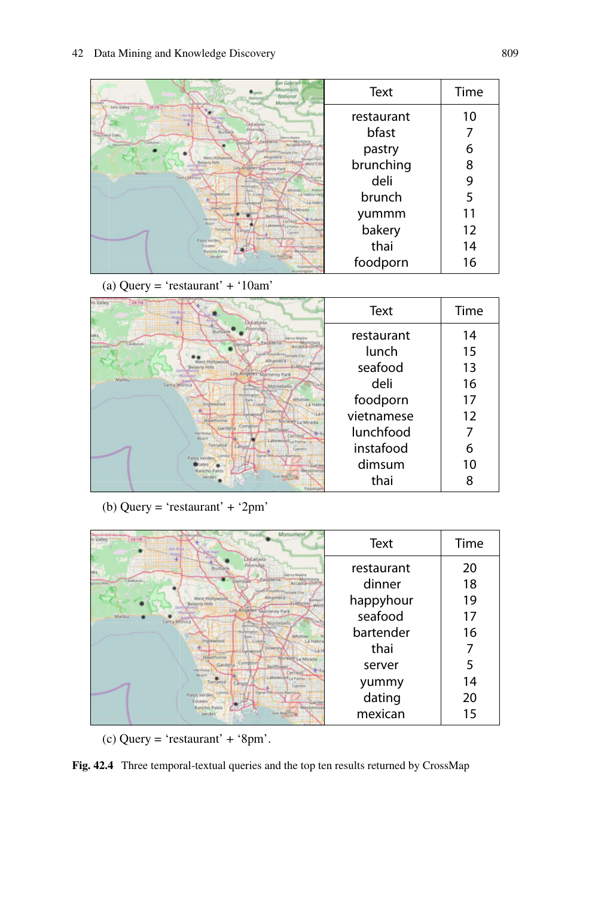| San Gabriel<br>Mountain:<br>National<br>Monument                                                   | Text       | Time |
|----------------------------------------------------------------------------------------------------|------------|------|
| Simi Välley<br><b>CA 118</b><br><b>ACAAAA</b>                                                      | restaurant | 10   |
| Direktor<br>Burban<br>Thousand Daks<br>lierva Madre                                                | bfast      |      |
| Pasadena<br>Tillabasas<br>Agoura Hotel<br>Arcadia<br>uth Pasadershi presie City<br><b>INJURIES</b> | pastry     | 6    |
| <b>Liatonte</b><br>Los Angeles Monterey Park<br><b>Malibu</b>                                      | brunching  | 8    |
| <b>Santa Monica</b><br>Tia Puente<br>Montebello<br>Whittier<br>Rowla                               | deli       | 9    |
| a Habra He<br><b>GMWAGCO</b><br>Downe                                                              | brunch     |      |
| <b>IEAsthratria</b><br><b>Crimalk La Mi</b><br><b>Fuller</b><br>NUMBER<br>Cerrant                  | yummm      | 11   |
| <b>Beach</b><br>Lakewood <sub>La Painte</sub><br>Torrance<br>Customsk                              | bakery     | 12   |
| Palos Verdes<br>Estates<br><b>Rancho Palos</b><br>Westminster                                      | thai       | 14   |
| <b>Seat Beat NT</b><br>Verde<br>Fountain Vali<br><b>Microfordina</b>                               | foodporn   | 16   |

(a) Query = 'restaurant' + '10am'

| <b>CATTE</b><br>ni Välley<br><b>Part Main</b><br>Canad                                            | Text       | Time |
|---------------------------------------------------------------------------------------------------|------------|------|
| aks                                                                                               | restaurant | 14   |
| Pasaderu<br>Calabasas<br>Arcadia<br>uth Pasadena Temple City                                      | lunch      | 15   |
| Alhambra<br>West Hollywood<br><b>ELMonte</b><br><b>Reverly Hills</b><br>Los Angeles Monterey Park | seafood    | 13   |
| Malibu<br>Santa Monica<br>Montebello                                                              | deli       | 16   |
| Whittier<br><b>La Hab</b><br>Inglewood<br>Cudati                                                  | foodporn   | 17   |
| <b>Downey</b><br>Eythwoor<br>Hawthorne<br>Norwalk <sub>La</sub> Mirada                            | vietnamese | 12   |
| Compton<br>Gardena<br><b>Bellflower</b><br>Merringsa<br>Cerritos<br>Beach<br>Lakewood La Paima    | lunchfood  |      |
| Torrance<br>Carson<br>Cypress<br><b>CALIFORNIA</b><br>al dri Alamstos                             | instafood  | 6    |
| <b>Palos Verdes</b><br>Gard<br>Rancho Palos<br><b>Nestmins</b>                                    | dimsum     | 10   |
| Verdes<br>Fountair                                                                                | thai       |      |

(b) Query = 'restaurant' + '2pm'

| Monument<br>Forest<br>si Valley<br>CA 118<br><b>Von Nijer</b>                       | Text       | Time |
|-------------------------------------------------------------------------------------|------------|------|
| La Cañada<br>Flintridge<br>aks<br>ierra Madre                                       | restaurant | 20   |
| Pasadena<br>Calabasas.<br><b>DUFA HID</b><br>ith Pasadena Lemple City               | dinner     | 18   |
| Alhambra<br>West Hollywood<br>ELMonte/                                              | happyhour  | 19   |
| Los Angeles Monterey Park<br>Malibu<br>Santa Monica<br>Montebello                   | seafood    | 17   |
| <b>LEADERS</b><br>Whittier<br>Inglewood<br>La Habi<br><b>CUSAN</b>                  | bartender  | 16   |
| Downey<br><b>Uvinwood</b><br>Hawthorne                                              | thai       |      |
| Norwalk La Mirada<br>Compton<br>Gardena<br>Bellflower<br><b>Hermosa</b><br>Cerritos | server     |      |
| Beach<br>Lakewood La Palma<br>Torrance<br>Carson<br>Cypress                         | yummy      | 14   |
| Signal Hillwisco Alamstos<br>Lomita<br>Palos Verdes<br>Estates                      | dating     | 20   |
| Rancho Palos<br>Westmins<br>Verdes                                                  | mexican    | 15   |

(c) Query = 'restaurant' + '8pm'.

<span id="page-12-0"></span>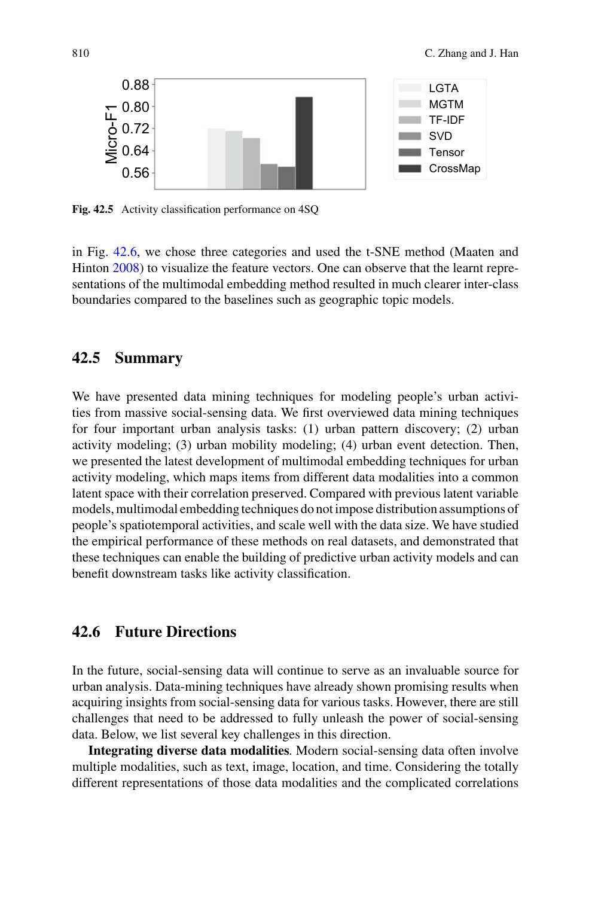

<span id="page-13-0"></span>**Fig. 42.5** Activity classification performance on 4SO

in Fig. [42.6,](#page-14-0) we chose three categories and used the t-SNE method (Maaten and Hinton [2008\)](#page-16-23) to visualize the feature vectors. One can observe that the learnt representations of the multimodal embedding method resulted in much clearer inter-class boundaries compared to the baselines such as geographic topic models.

## **42.5 Summary**

We have presented data mining techniques for modeling people's urban activities from massive social-sensing data. We first overviewed data mining techniques for four important urban analysis tasks: (1) urban pattern discovery; (2) urban activity modeling; (3) urban mobility modeling; (4) urban event detection. Then, we presented the latest development of multimodal embedding techniques for urban activity modeling, which maps items from different data modalities into a common latent space with their correlation preserved. Compared with previous latent variable models, multimodal embedding techniques do not impose distribution assumptions of people's spatiotemporal activities, and scale well with the data size. We have studied the empirical performance of these methods on real datasets, and demonstrated that these techniques can enable the building of predictive urban activity models and can benefit downstream tasks like activity classification.

# **42.6 Future Directions**

In the future, social-sensing data will continue to serve as an invaluable source for urban analysis. Data-mining techniques have already shown promising results when acquiring insights from social-sensing data for various tasks. However, there are still challenges that need to be addressed to fully unleash the power of social-sensing data. Below, we list several key challenges in this direction.

**Integrating diverse data modalities**. Modern social-sensing data often involve multiple modalities, such as text, image, location, and time. Considering the totally different representations of those data modalities and the complicated correlations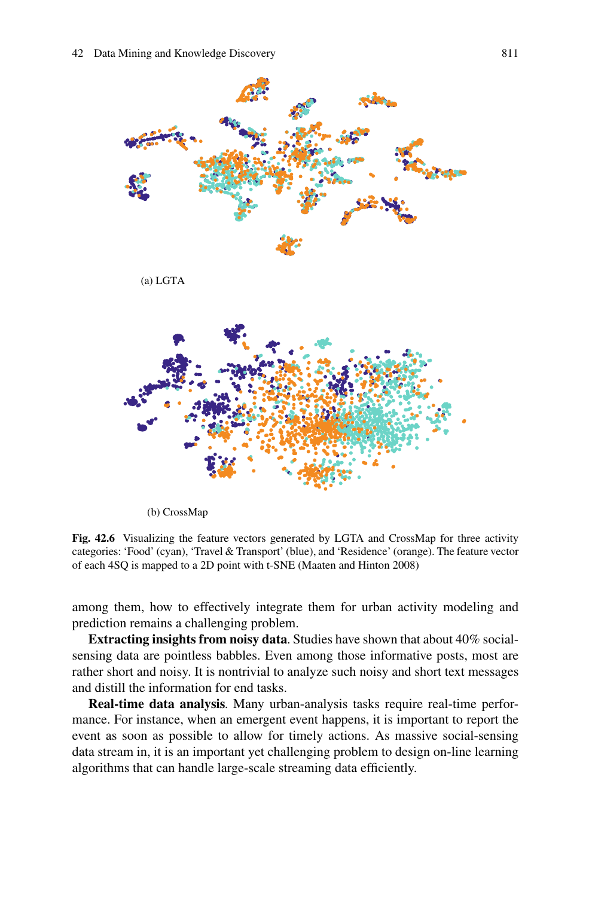

(b) CrossMap

<span id="page-14-0"></span>**Fig. 42.6** Visualizing the feature vectors generated by LGTA and CrossMap for three activity categories: 'Food' (cyan), 'Travel & Transport' (blue), and 'Residence' (orange). The feature vector of each 4SQ is mapped to a 2D point with t-SNE (Maaten and Hinton 2008)

among them, how to effectively integrate them for urban activity modeling and prediction remains a challenging problem.

**Extracting insights from noisy data**. Studies have shown that about 40% socialsensing data are pointless babbles. Even among those informative posts, most are rather short and noisy. It is nontrivial to analyze such noisy and short text messages and distill the information for end tasks.

**Real-time data analysis**. Many urban-analysis tasks require real-time performance. For instance, when an emergent event happens, it is important to report the event as soon as possible to allow for timely actions. As massive social-sensing data stream in, it is an important yet challenging problem to design on-line learning algorithms that can handle large-scale streaming data efficiently.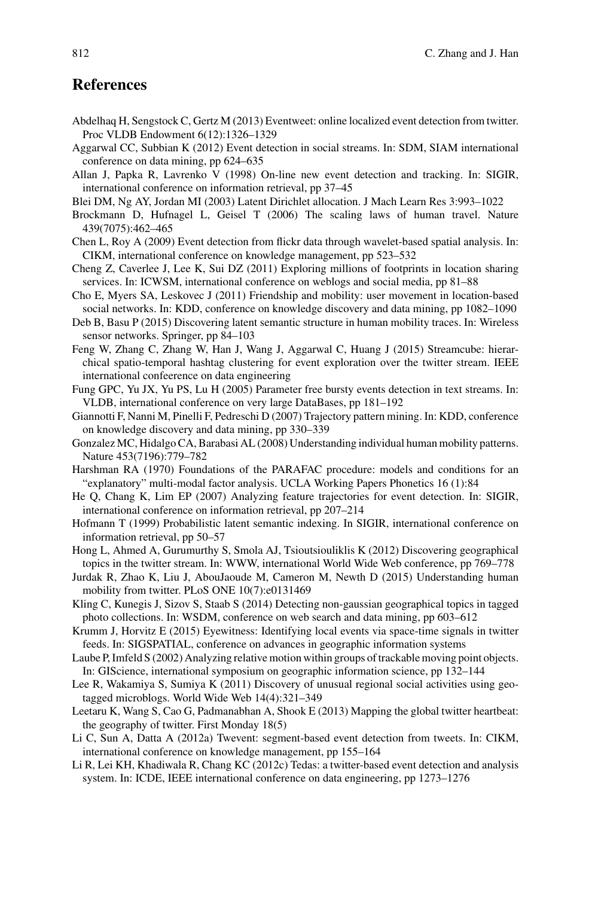## **References**

- <span id="page-15-13"></span>Abdelhaq H, Sengstock C, Gertz M (2013) Eventweet: online localized event detection from twitter. Proc VLDB Endowment 6(12):1326–1329
- <span id="page-15-18"></span>Aggarwal CC, Subbian K (2012) Event detection in social streams. In: SDM, SIAM international conference on data mining, pp 624–635
- <span id="page-15-17"></span>Allan J, Papka R, Lavrenko V (1998) On-line new event detection and tracking. In: SIGIR, international conference on information retrieval, pp 37–45
- <span id="page-15-8"></span>Blei DM, Ng AY, Jordan MI (2003) Latent Dirichlet allocation. J Mach Learn Res 3:993–1022
- <span id="page-15-10"></span>Brockmann D, Hufnagel L, Geisel T (2006) The scaling laws of human travel. Nature 439(7075):462–465
- <span id="page-15-14"></span>Chen L, Roy A (2009) Event detection from flickr data through wavelet-based spatial analysis. In: CIKM, international conference on knowledge management, pp 523–532
- <span id="page-15-1"></span>Cheng Z, Caverlee J, Lee K, Sui DZ (2011) Exploring millions of footprints in location sharing services. In: ICWSM, international conference on weblogs and social media, pp 81–88
- <span id="page-15-5"></span>Cho E, Myers SA, Leskovec J (2011) Friendship and mobility: user movement in location-based social networks. In: KDD, conference on knowledge discovery and data mining, pp 1082–1090
- <span id="page-15-12"></span>Deb B, Basu P (2015) Discovering latent semantic structure in human mobility traces. In: Wireless sensor networks. Springer, pp 84–103
- <span id="page-15-15"></span>Feng W, Zhang C, Zhang W, Han J, Wang J, Aggarwal C, Huang J (2015) Streamcube: hierarchical spatio-temporal hashtag clustering for event exploration over the twitter stream. IEEE international confeerence on data engineering
- <span id="page-15-19"></span>Fung GPC, Yu JX, Yu PS, Lu H (2005) Parameter free bursty events detection in text streams. In: VLDB, international conference on very large DataBases, pp 181–192
- <span id="page-15-3"></span>Giannotti F, Nanni M, Pinelli F, Pedreschi D (2007) Trajectory pattern mining. In: KDD, conference on knowledge discovery and data mining, pp 330–339
- <span id="page-15-11"></span>Gonzalez MC, Hidalgo CA, Barabasi AL (2008) Understanding individual human mobility patterns. Nature 453(7196):779–782
- <span id="page-15-23"></span>Harshman RA (1970) Foundations of the PARAFAC procedure: models and conditions for an "explanatory" multi-modal factor analysis. UCLA Working Papers Phonetics 16 (1):84
- <span id="page-15-20"></span>He Q, Chang K, Lim EP (2007) Analyzing feature trajectories for event detection. In: SIGIR, international conference on information retrieval, pp 207–214
- <span id="page-15-9"></span>Hofmann T (1999) Probabilistic latent semantic indexing. In SIGIR, international conference on information retrieval, pp 50–57
- <span id="page-15-6"></span>Hong L, Ahmed A, Gurumurthy S, Smola AJ, Tsioutsiouliklis K (2012) Discovering geographical topics in the twitter stream. In: WWW, international World Wide Web conference, pp 769–778
- <span id="page-15-2"></span>Jurdak R, Zhao K, Liu J, AbouJaoude M, Cameron M, Newth D (2015) Understanding human mobility from twitter. PLoS ONE 10(7):e0131469
- <span id="page-15-7"></span>Kling C, Kunegis J, Sizov S, Staab S (2014) Detecting non-gaussian geographical topics in tagged photo collections. In: WSDM, conference on web search and data mining, pp 603–612
- <span id="page-15-22"></span>Krumm J, Horvitz E (2015) Eyewitness: Identifying local events via space-time signals in twitter feeds. In: SIGSPATIAL, conference on advances in geographic information systems
- <span id="page-15-4"></span>Laube P, Imfeld S (2002) Analyzing relative motion within groups of trackable moving point objects. In: GIScience, international symposium on geographic information science, pp 132–144
- <span id="page-15-16"></span>Lee R, Wakamiya S, Sumiya K (2011) Discovery of unusual regional social activities using geotagged microblogs. World Wide Web 14(4):321–349
- <span id="page-15-0"></span>Leetaru K, Wang S, Cao G, Padmanabhan A, Shook E (2013) Mapping the global twitter heartbeat: the geography of twitter. First Monday 18(5)
- <span id="page-15-21"></span>Li C, Sun A, Datta A (2012a) Twevent: segment-based event detection from tweets. In: CIKM, international conference on knowledge management, pp 155–164
- Li R, Lei KH, Khadiwala R, Chang KC (2012c) Tedas: a twitter-based event detection and analysis system. In: ICDE, IEEE international conference on data engineering, pp 1273–1276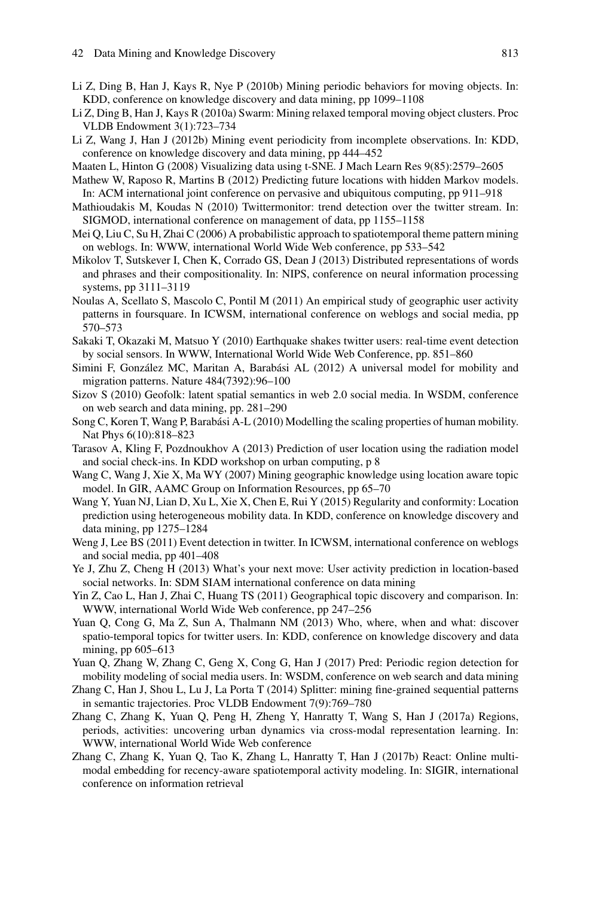- <span id="page-16-3"></span>Li Z, Ding B, Han J, Kays R, Nye P (2010b) Mining periodic behaviors for moving objects. In: KDD, conference on knowledge discovery and data mining, pp 1099–1108
- <span id="page-16-2"></span>Li Z, Ding B, Han J, Kays R (2010a) Swarm: Mining relaxed temporal moving object clusters. Proc VLDB Endowment 3(1):723–734
- <span id="page-16-4"></span>Li Z, Wang J, Han J (2012b) Mining event periodicity from incomplete observations. In: KDD, conference on knowledge discovery and data mining, pp 444–452
- <span id="page-16-23"></span>Maaten L, Hinton G (2008) Visualizing data using t-SNE. J Mach Learn Res 9(85):2579–2605
- <span id="page-16-15"></span>Mathew W, Raposo R, Martins B (2012) Predicting future locations with hidden Markov models. In: ACM international joint conference on pervasive and ubiquitous computing, pp 911–918
- <span id="page-16-18"></span>Mathioudakis M, Koudas N (2010) Twittermonitor: trend detection over the twitter stream. In: SIGMOD, international conference on management of data, pp 1155–1158
- <span id="page-16-7"></span>Mei Q, Liu C, Su H, Zhai C (2006) A probabilistic approach to spatiotemporal theme pattern mining on weblogs. In: WWW, international World Wide Web conference, pp 533–542
- <span id="page-16-22"></span>Mikolov T, Sutskever I, Chen K, Corrado GS, Dean J (2013) Distributed representations of words and phrases and their compositionality. In: NIPS, conference on neural information processing systems, pp 3111–3119
- <span id="page-16-0"></span>Noulas A, Scellato S, Mascolo C, Pontil M (2011) An empirical study of geographic user activity patterns in foursquare. In ICWSM, international conference on weblogs and social media, pp 570–573
- <span id="page-16-17"></span>Sakaki T, Okazaki M, Matsuo Y (2010) Earthquake shakes twitter users: real-time event detection by social sensors. In WWW, International World Wide Web Conference, pp. 851–860
- <span id="page-16-6"></span>Simini F, González MC, Maritan A, Barabási AL (2012) A universal model for mobility and migration patterns. Nature 484(7392):96–100
- <span id="page-16-8"></span>Sizov S (2010) Geofolk: latent spatial semantics in web 2.0 social media. In WSDM, conference on web search and data mining, pp. 281–290
- <span id="page-16-13"></span>Song C, Koren T, Wang P, Barabási A-L (2010) Modelling the scaling properties of human mobility. Nat Phys 6(10):818–823
- <span id="page-16-5"></span>Tarasov A, Kling F, Pozdnoukhov A (2013) Prediction of user location using the radiation model and social check-ins. In KDD workshop on urban computing, p 8
- <span id="page-16-9"></span>Wang C, Wang J, Xie X, Ma WY (2007) Mining geographic knowledge using location aware topic model. In GIR, AAMC Group on Information Resources, pp 65–70
- <span id="page-16-14"></span>Wang Y, Yuan NJ, Lian D, Xu L, Xie X, Chen E, Rui Y (2015) Regularity and conformity: Location prediction using heterogeneous mobility data. In KDD, conference on knowledge discovery and data mining, pp 1275–1284
- <span id="page-16-19"></span>Weng J, Lee BS (2011) Event detection in twitter. In ICWSM, international conference on weblogs and social media, pp 401–408
- <span id="page-16-16"></span>Ye J, Zhu Z, Cheng H (2013) What's your next move: User activity prediction in location-based social networks. In: SDM SIAM international conference on data mining
- <span id="page-16-10"></span>Yin Z, Cao L, Han J, Zhai C, Huang TS (2011) Geographical topic discovery and comparison. In: WWW, international World Wide Web conference, pp 247–256
- <span id="page-16-11"></span>Yuan Q, Cong G, Ma Z, Sun A, Thalmann NM (2013) Who, where, when and what: discover spatio-temporal topics for twitter users. In: KDD, conference on knowledge discovery and data mining, pp 605–613
- <span id="page-16-12"></span>Yuan Q, Zhang W, Zhang C, Geng X, Cong G, Han J (2017) Pred: Periodic region detection for mobility modeling of social media users. In: WSDM, conference on web search and data mining
- <span id="page-16-1"></span>Zhang C, Han J, Shou L, Lu J, La Porta T (2014) Splitter: mining fine-grained sequential patterns in semantic trajectories. Proc VLDB Endowment 7(9):769–780
- <span id="page-16-20"></span>Zhang C, Zhang K, Yuan Q, Peng H, Zheng Y, Hanratty T, Wang S, Han J (2017a) Regions, periods, activities: uncovering urban dynamics via cross-modal representation learning. In: WWW, international World Wide Web conference
- <span id="page-16-21"></span>Zhang C, Zhang K, Yuan Q, Tao K, Zhang L, Hanratty T, Han J (2017b) React: Online multimodal embedding for recency-aware spatiotemporal activity modeling. In: SIGIR, international conference on information retrieval